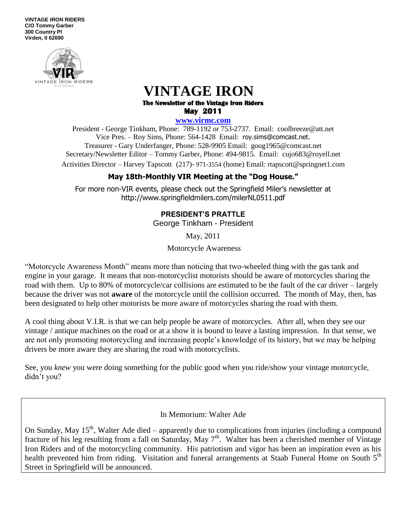**VINTAGE IRON RIDERS C/O Tommy Garber 300 Country Pl Virden, Il 62690**



# **VINTAGE IRON The Newsletter of the Vintage Iron Riders May 2011**

**www.virmc.com** 

President - George Tinkham, Phone: 789-1192 or 753-2737. Email: coolbreeze@att.net Vice Pres. – Roy Sims, Phone: 564-1428 Email: [roy.sims@comcast.net.](mailto:roy.sims@comcast.net) Treasurer - Gary Underfanger, Phone: 528-9905 Email: goog1965@comcast.net Secretary/Newsletter Editor – Tommy Garber, Phone: 494-9815. Email: cujo683@royell.net Activities Director – Harvey Tapscott (217)- 971-3554 (home) Email: rtapscott@springnet1.com

## **May 18th-Monthly VIR Meeting at the "Dog House."**

For more non-VIR events, please check out the Springfield Miler's newsletter at http://www.springfieldmilers.com/milerNL0511.pdf

## **PRESIDENT'S PRATTLE**

George Tinkham - President

May, 2011

Motorcycle Awareness

―Motorcycle Awareness Month‖ means more than noticing that two-wheeled thing with the gas tank and engine in your garage. It means that non-motorcyclist motorists should be aware of motorcycles sharing the road with them. Up to 80% of motorcycle/car collisions are estimated to be the fault of the car driver – largely because the driver was not **aware** of the motorcycle until the collision occurred. The month of May, then, has been designated to help other motorists be more aware of motorcycles sharing the road with them.

A cool thing about V.I.R. is that we can help people be aware of motorcycles. After all, when they see our vintage / antique machines on the road or at a show it is bound to leave a lasting impression. In that sense, we are not only promoting motorcycling and increasing people's knowledge of its history, but we may be helping drivers be more aware they are sharing the road with motorcyclists.

See, you *knew* you were doing something for the public good when you ride/show your vintage motorcycle, didn't you?

In Memorium: Walter Ade

On Sunday, May  $15<sup>th</sup>$ , Walter Ade died – apparently due to complications from injuries (including a compound fracture of his leg resulting from a fall on Saturday, May  $7<sup>th</sup>$ . Walter has been a cherished member of Vintage Iron Riders and of the motorcycling community. His patriotism and vigor has been an inspiration even as his health prevented him from riding. Visitation and funeral arrangements at Staab Funeral Home on South 5<sup>th</sup> Street in Springfield will be announced.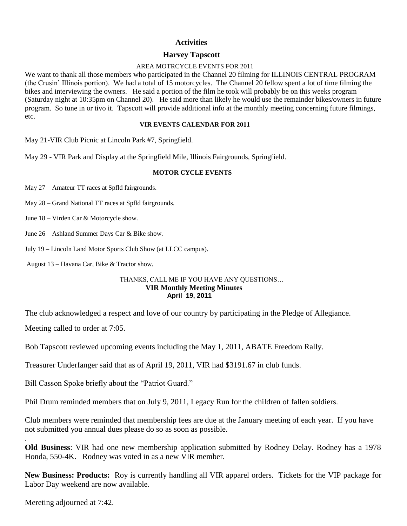#### **Activities**

#### **Harvey Tapscott**

#### AREA MOTRCYCLE EVENTS FOR 2011

We want to thank all those members who participated in the Channel 20 filming for ILLINOIS CENTRAL PROGRAM (the Crusin' Illinois portion). We had a total of 15 motorcycles. The Channel 20 fellow spent a lot of time filming the bikes and interviewing the owners. He said a portion of the film he took will probably be on this weeks program (Saturday night at 10:35pm on Channel 20). He said more than likely he would use the remainder bikes/owners in future program. So tune in or tivo it. Tapscott will provide additional info at the monthly meeting concerning future filmings, etc.

#### **VIR EVENTS CALENDAR FOR 2011**

May 21-VIR Club Picnic at Lincoln Park #7, Springfield.

May 29 - VIR Park and Display at the Springfield Mile, Illinois Fairgrounds, Springfield.

#### **MOTOR CYCLE EVENTS**

May 27 – Amateur TT races at Spfld fairgrounds.

May 28 – Grand National TT races at Spfld fairgrounds.

June 18 – Virden Car & Motorcycle show.

June 26 – Ashland Summer Days Car & Bike show.

July 19 – Lincoln Land Motor Sports Club Show (at LLCC campus).

August 13 – Havana Car, Bike & Tractor show.

#### THANKS, CALL ME IF YOU HAVE ANY QUESTIONS… **VIR Monthly Meeting Minutes April 19, 2011**

The club acknowledged a respect and love of our country by participating in the Pledge of Allegiance.

Meeting called to order at 7:05.

Bob Tapscott reviewed upcoming events including the May 1, 2011, ABATE Freedom Rally.

Treasurer Underfanger said that as of April 19, 2011, VIR had \$3191.67 in club funds.

Bill Casson Spoke briefly about the "Patriot Guard."

Phil Drum reminded members that on July 9, 2011, Legacy Run for the children of fallen soldiers.

Club members were reminded that membership fees are due at the January meeting of each year. If you have not submitted you annual dues please do so as soon as possible.

**Old Business**: VIR had one new membership application submitted by Rodney Delay. Rodney has a 1978 Honda, 550-4K. Rodney was voted in as a new VIR member.

**New Business: Products:** Roy is currently handling all VIR apparel orders. Tickets for the VIP package for Labor Day weekend are now available.

Mereting adjourned at 7:42.

.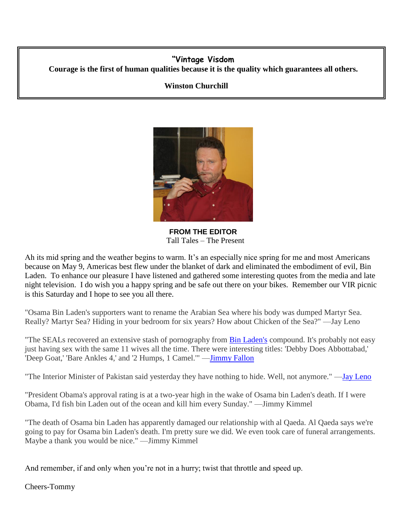## **"Vintage Visdom Courage is the first of human qualities because it is the quality which guarantees all others.**

### **Winston Churchill**



**FROM THE EDITOR** Tall Tales – The Present

Ah its mid spring and the weather begins to warm. It's an especially nice spring for me and most Americans because on May 9, Americas best flew under the blanket of dark and eliminated the embodiment of evil, Bin Laden. To enhance our pleasure I have listened and gathered some interesting quotes from the media and late night television. I do wish you a happy spring and be safe out there on your bikes. Remember our VIR picnic is this Saturday and I hope to see you all there.

"Osama Bin Laden's supporters want to rename the Arabian Sea where his body was dumped Martyr Sea. Really? Martyr Sea? Hiding in your bedroom for six years? How about Chicken of the Sea?" —Jay Leno

"The SEALs recovered an extensive stash of pornography from [Bin Laden's](http://politicalhumor.about.com/od/osamabinladen/a/Osama-Bin-Laden-Jokes.htm) compound. It's probably not easy just having sex with the same 11 wives all the time. There were interesting titles: 'Debby Does Abbottabad,' Deep Goat,' 'Bare Ankles 4,' and '2 Humps, 1 Camel.'" —**Jimmy Fallon** 

"The Interior Minister of Pakistan said yesterday they have nothing to hide. Well, not anymore." [—Jay Leno](http://politicalhumor.about.com/library/bl-jay-leno-jokes.htm)

"President Obama's approval rating is at a two-year high in the wake of Osama bin Laden's death. If I were Obama, I'd fish bin Laden out of the ocean and kill him every Sunday." —Jimmy Kimmel

"The death of Osama bin Laden has apparently damaged our relationship with al Qaeda. Al Qaeda says we're going to pay for Osama bin Laden's death. I'm pretty sure we did. We even took care of funeral arrangements. Maybe a thank you would be nice." —Jimmy Kimmel

And remember, if and only when you're not in a hurry; twist that throttle and speed up.

Cheers-Tommy